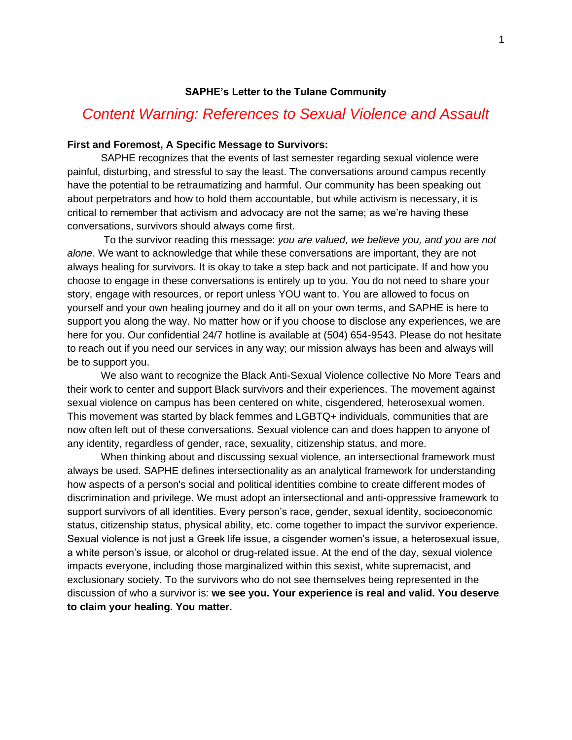### **SAPHE's Letter to the Tulane Community**

# *Content Warning: References to Sexual Violence and Assault*

#### **First and Foremost, A Specific Message to Survivors:**

SAPHE recognizes that the events of last semester regarding sexual violence were painful, disturbing, and stressful to say the least. The conversations around campus recently have the potential to be retraumatizing and harmful. Our community has been speaking out about perpetrators and how to hold them accountable, but while activism is necessary, it is critical to remember that activism and advocacy are not the same; as we're having these conversations, survivors should always come first.

To the survivor reading this message: *you are valued, we believe you, and you are not alone.* We want to acknowledge that while these conversations are important, they are not always healing for survivors. It is okay to take a step back and not participate. If and how you choose to engage in these conversations is entirely up to you. You do not need to share your story, engage with resources, or report unless YOU want to. You are allowed to focus on yourself and your own healing journey and do it all on your own terms, and SAPHE is here to support you along the way. No matter how or if you choose to disclose any experiences, we are here for you. Our confidential 24/7 hotline is available at (504) 654-9543. Please do not hesitate to reach out if you need our services in any way; our mission always has been and always will be to support you.

We also want to recognize the Black Anti-Sexual Violence collective No More Tears and their work to center and support Black survivors and their experiences. The movement against sexual violence on campus has been centered on white, cisgendered, heterosexual women. This movement was started by black femmes and LGBTQ+ individuals, communities that are now often left out of these conversations. Sexual violence can and does happen to anyone of any identity, regardless of gender, race, sexuality, citizenship status, and more.

When thinking about and discussing sexual violence, an intersectional framework must always be used. SAPHE defines intersectionality as an analytical framework for understanding how aspects of a person's social and political identities combine to create different modes of discrimination and privilege. We must adopt an intersectional and anti-oppressive framework to support survivors of all identities. Every person's race, gender, sexual identity, socioeconomic status, citizenship status, physical ability, etc. come together to impact the survivor experience. Sexual violence is not just a Greek life issue, a cisgender women's issue, a heterosexual issue, a white person's issue, or alcohol or drug-related issue. At the end of the day, sexual violence impacts everyone, including those marginalized within this sexist, white supremacist, and exclusionary society. To the survivors who do not see themselves being represented in the discussion of who a survivor is: **we see you. Your experience is real and valid. You deserve to claim your healing. You matter.**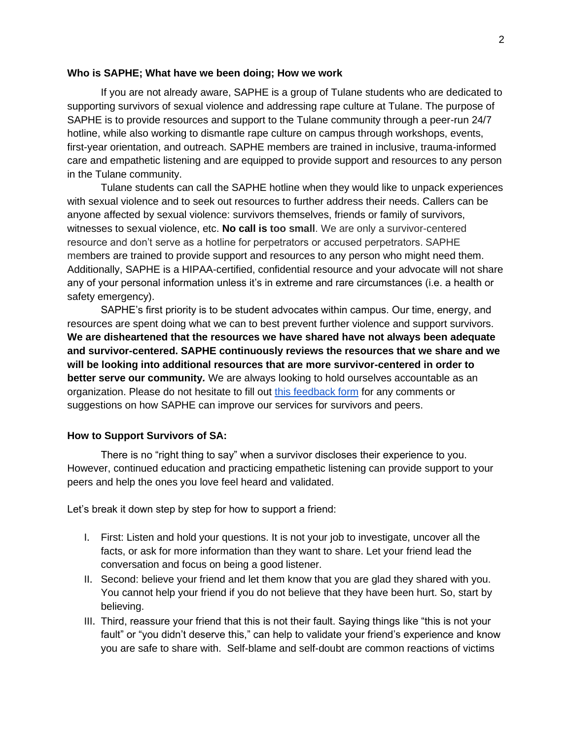#### **Who is SAPHE; What have we been doing; How we work**

If you are not already aware, SAPHE is a group of Tulane students who are dedicated to supporting survivors of sexual violence and addressing rape culture at Tulane. The purpose of SAPHE is to provide resources and support to the Tulane community through a peer-run 24/7 hotline, while also working to dismantle rape culture on campus through workshops, events, first-year orientation, and outreach. SAPHE members are trained in inclusive, trauma-informed care and empathetic listening and are equipped to provide support and resources to any person in the Tulane community.

Tulane students can call the SAPHE hotline when they would like to unpack experiences with sexual violence and to seek out resources to further address their needs. Callers can be anyone affected by sexual violence: survivors themselves, friends or family of survivors, witnesses to sexual violence, etc. **No call is too small**. We are only a survivor-centered resource and don't serve as a hotline for perpetrators or accused perpetrators. SAPHE members are trained to provide support and resources to any person who might need them. Additionally, SAPHE is a HIPAA-certified, confidential resource and your advocate will not share any of your personal information unless it's in extreme and rare circumstances (i.e. a health or safety emergency).

SAPHE's first priority is to be student advocates within campus. Our time, energy, and resources are spent doing what we can to best prevent further violence and support survivors. **We are disheartened that the resources we have shared have not always been adequate and survivor-centered. SAPHE continuously reviews the resources that we share and we will be looking into additional resources that are more survivor-centered in order to better serve our community***.* We are always looking to hold ourselves accountable as an organization. Please do not hesitate to fill out [this feedback form](https://docs.google.com/forms/d/e/1FAIpQLSfC5khCBajhuC_ZjC5ajFnuJHXsLM9fVPXDwXfQXULQCzQ1Gw/viewform?fbclid=IwAR0KgW3S3h2vKyh5OavKh6FTDb7O1F1K2sVd0xe4DlcWhOMcrQL7FK2h0c8) for any comments or suggestions on how SAPHE can improve our services for survivors and peers.

#### **How to Support Survivors of SA:**

There is no "right thing to say" when a survivor discloses their experience to you. However, continued education and practicing empathetic listening can provide support to your peers and help the ones you love feel heard and validated.

Let's break it down step by step for how to support a friend:

- I. First: Listen and hold your questions. It is not your job to investigate, uncover all the facts, or ask for more information than they want to share. Let your friend lead the conversation and focus on being a good listener.
- II. Second: believe your friend and let them know that you are glad they shared with you. You cannot help your friend if you do not believe that they have been hurt. So, start by believing.
- III. Third, reassure your friend that this is not their fault. Saying things like "this is not your fault" or "you didn't deserve this," can help to validate your friend's experience and know you are safe to share with. Self-blame and self-doubt are common reactions of victims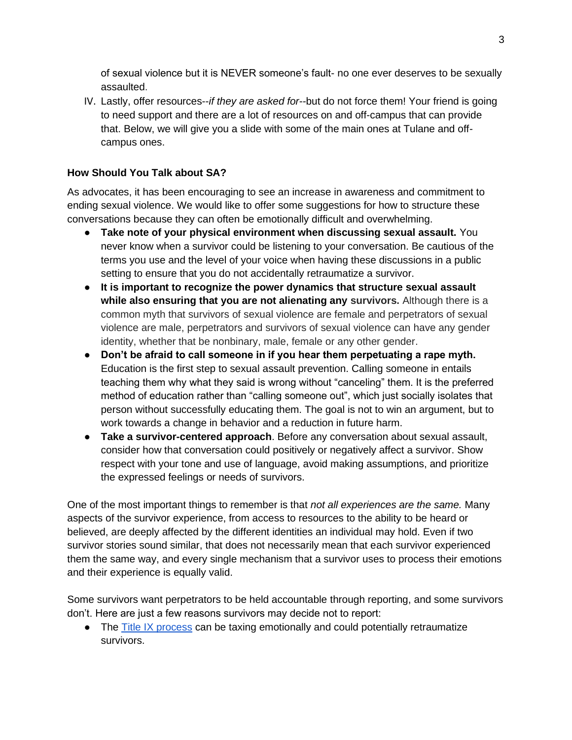of sexual violence but it is NEVER someone's fault- no one ever deserves to be sexually assaulted.

IV. Lastly, offer resources--*if they are asked for--*but do not force them! Your friend is going to need support and there are a lot of resources on and off-campus that can provide that. Below, we will give you a slide with some of the main ones at Tulane and offcampus ones.

# **How Should You Talk about SA?**

As advocates, it has been encouraging to see an increase in awareness and commitment to ending sexual violence. We would like to offer some suggestions for how to structure these conversations because they can often be emotionally difficult and overwhelming.

- **Take note of your physical environment when discussing sexual assault.** You never know when a survivor could be listening to your conversation. Be cautious of the terms you use and the level of your voice when having these discussions in a public setting to ensure that you do not accidentally retraumatize a survivor.
- **It is important to recognize the power dynamics that structure sexual assault while also ensuring that you are not alienating any survivors.** Although there is a common myth that survivors of sexual violence are female and perpetrators of sexual violence are male, perpetrators and survivors of sexual violence can have any gender identity, whether that be nonbinary, male, female or any other gender.
- **Don't be afraid to call someone in if you hear them perpetuating a rape myth.**  Education is the first step to sexual assault prevention. Calling someone in entails teaching them why what they said is wrong without "canceling" them. It is the preferred method of education rather than "calling someone out", which just socially isolates that person without successfully educating them. The goal is not to win an argument, but to work towards a change in behavior and a reduction in future harm.
- **Take a survivor-centered approach**. Before any conversation about sexual assault, consider how that conversation could positively or negatively affect a survivor. Show respect with your tone and use of language, avoid making assumptions, and prioritize the expressed feelings or needs of survivors.

One of the most important things to remember is that *not all experiences are the same.* Many aspects of the survivor experience, from access to resources to the ability to be heard or believed, are deeply affected by the different identities an individual may hold. Even if two survivor stories sound similar, that does not necessarily mean that each survivor experienced them the same way, and every single mechanism that a survivor uses to process their emotions and their experience is equally valid.

Some survivors want perpetrators to be held accountable through reporting, and some survivors don't. Here are just a few reasons survivors may decide not to report:

• The [Title IX process](http://www.allin.tulane.edu/) can be taxing emotionally and could potentially retraumatize survivors.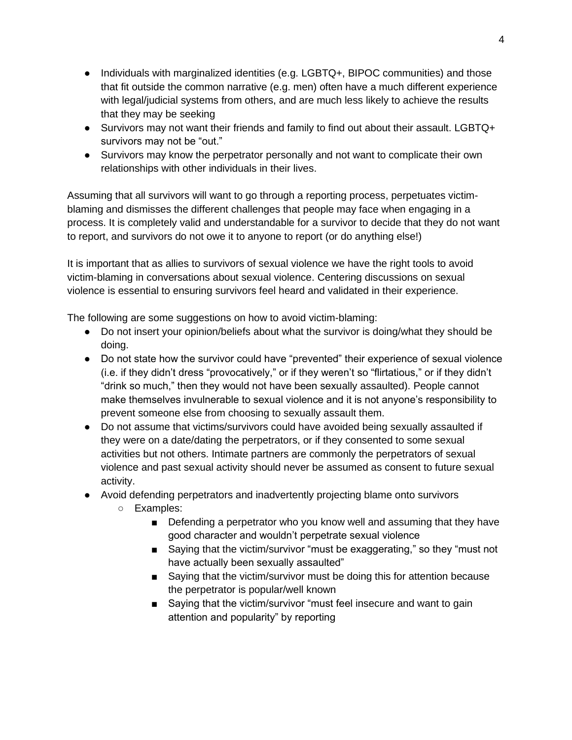- Individuals with marginalized identities (e.g. LGBTQ+, BIPOC communities) and those that fit outside the common narrative (e.g. men) often have a much different experience with legal/judicial systems from others, and are much less likely to achieve the results that they may be seeking
- Survivors may not want their friends and family to find out about their assault. LGBTQ+ survivors may not be "out."
- Survivors may know the perpetrator personally and not want to complicate their own relationships with other individuals in their lives.

Assuming that all survivors will want to go through a reporting process, perpetuates victimblaming and dismisses the different challenges that people may face when engaging in a process. It is completely valid and understandable for a survivor to decide that they do not want to report, and survivors do not owe it to anyone to report (or do anything else!)

It is important that as allies to survivors of sexual violence we have the right tools to avoid victim-blaming in conversations about sexual violence. Centering discussions on sexual violence is essential to ensuring survivors feel heard and validated in their experience.

The following are some suggestions on how to avoid victim-blaming:

- Do not insert your opinion/beliefs about what the survivor is doing/what they should be doing.
- Do not state how the survivor could have "prevented" their experience of sexual violence (i.e. if they didn't dress "provocatively," or if they weren't so "flirtatious," or if they didn't "drink so much," then they would not have been sexually assaulted). People cannot make themselves invulnerable to sexual violence and it is not anyone's responsibility to prevent someone else from choosing to sexually assault them.
- Do not assume that victims/survivors could have avoided being sexually assaulted if they were on a date/dating the perpetrators, or if they consented to some sexual activities but not others. Intimate partners are commonly the perpetrators of sexual violence and past sexual activity should never be assumed as consent to future sexual activity.
- Avoid defending perpetrators and inadvertently projecting blame onto survivors
	- Examples:
		- Defending a perpetrator who you know well and assuming that they have good character and wouldn't perpetrate sexual violence
		- Saying that the victim/survivor "must be exaggerating," so they "must not have actually been sexually assaulted"
		- Saying that the victim/survivor must be doing this for attention because the perpetrator is popular/well known
		- Saying that the victim/survivor "must feel insecure and want to gain attention and popularity" by reporting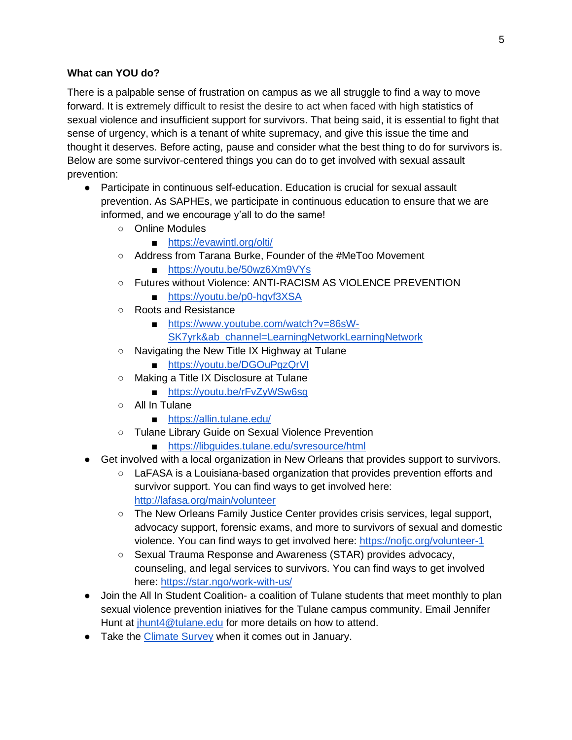# **What can YOU do?**

There is a palpable sense of frustration on campus as we all struggle to find a way to move forward. It is extremely difficult to resist the desire to act when faced with high statistics of sexual violence and insufficient support for survivors. That being said, it is essential to fight that sense of urgency, which is a tenant of white supremacy, and give this issue the time and thought it deserves. Before acting, pause and consider what the best thing to do for survivors is. Below are some survivor-centered things you can do to get involved with sexual assault prevention:

- Participate in continuous self-education. Education is crucial for sexual assault prevention. As SAPHEs, we participate in continuous education to ensure that we are informed, and we encourage y'all to do the same!
	- Online Modules
		- <https://evawintl.org/olti/>
	- Address from Tarana Burke, Founder of the #MeToo Movement
		- <https://youtu.be/50wz6Xm9VYs>
	- Futures without Violence: ANTI-RACISM AS VIOLENCE PREVENTION
		- <https://youtu.be/p0-hgvf3XSA>
	- Roots and Resistance
		- [https://www.youtube.com/watch?v=86sW-](https://www.youtube.com/watch?v=86sW-SK7yrk&ab_channel=LearningNetworkLearningNetwork)
		- [SK7yrk&ab\\_channel=LearningNetworkLearningNetwork](https://www.youtube.com/watch?v=86sW-SK7yrk&ab_channel=LearningNetworkLearningNetwork)
	- Navigating the New Title IX Highway at Tulane
		- <https://youtu.be/DGOuPgzQrVI>
	- Making a Title IX Disclosure at Tulane
		- <https://youtu.be/rFvZyWSw6sg>
	- All In Tulane
		- <https://allin.tulane.edu/>
	- Tulane Library Guide on Sexual Violence Prevention
		- <https://libguides.tulane.edu/svresource/html>
- Get involved with a local organization in New Orleans that provides support to survivors.
	- LaFASA is a Louisiana-based organization that provides prevention efforts and survivor support. You can find ways to get involved here:
		- <http://lafasa.org/main/volunteer>
		- The New Orleans Family Justice Center provides crisis services, legal support, advocacy support, forensic exams, and more to survivors of sexual and domestic violence. You can find ways to get involved here:<https://nofjc.org/volunteer-1>
		- Sexual Trauma Response and Awareness (STAR) provides advocacy, counseling, and legal services to survivors. You can find ways to get involved here:<https://star.ngo/work-with-us/>
- Join the All In Student Coalition- a coalition of Tulane students that meet monthly to plan sexual violence prevention iniatives for the Tulane campus community. Email Jennifer Hunt at [jhunt4@tulane.edu](mailto:jhunt4@tulane.edu) for more details on how to attend.
- Take the [Climate Survey](https://climatesurvey.tulane.edu/) when it comes out in January.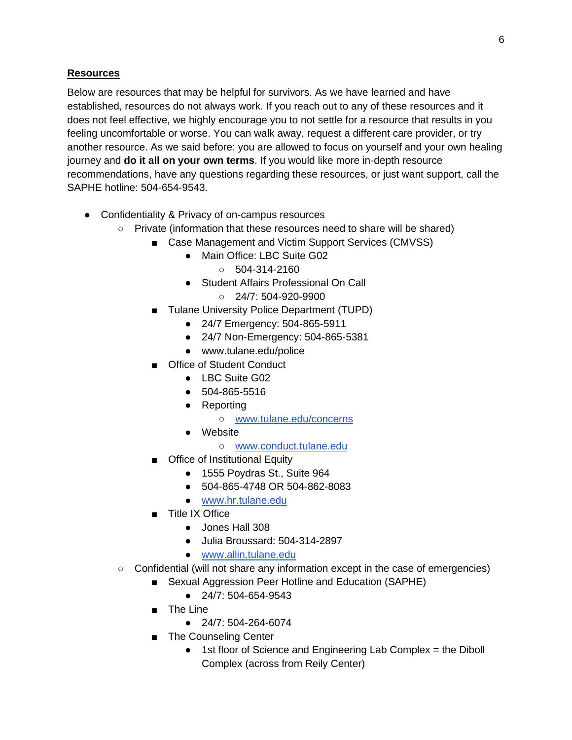# **Resources**

Below are resources that may be helpful for survivors. As we have learned and have established, resources do not always work. If you reach out to any of these resources and it does not feel effective, we highly encourage you to not settle for a resource that results in you feeling uncomfortable or worse. You can walk away, request a different care provider, or try another resource. As we said before: you are allowed to focus on yourself and your own healing journey and **do it all on your own terms**. If you would like more in-depth resource recommendations, have any questions regarding these resources, or just want support, call the SAPHE hotline: 504-654-9543.

- Confidentiality & Privacy of on-campus resources
	- Private (information that these resources need to share will be shared)
		- Case Management and Victim Support Services (CMVSS)
			- Main Office: LBC Suite G02
				- $0.504 314 2160$
			- Student Affairs Professional On Call
				- 24/7: 504-920-9900
		- Tulane University Police Department (TUPD)
			- 24/7 Emergency: 504-865-5911
			- 24/7 Non-Emergency: 504-865-5381
			- www.tulane.edu/police
		- Office of Student Conduct
			- LBC Suite G02
			- 504-865-5516
			- Reporting
				- [www.tulane.edu/concerns](http://www.tulane.edu/concerns)
			- Website
				- [www.conduct.tulane.edu](http://www.conduct.tulane.edu/)
		- Office of Institutional Equity
			- 1555 Poydras St., Suite 964
			- 504-865-4748 OR 504-862-8083
			- [www.hr.tulane.edu](http://www.hr.tulane.edu/)
		- Title IX Office
			- Jones Hall 308
			- Julia Broussard: 504-314-2897
			- [www.allin.tulane.edu](http://www.allin.tulane.edu/)
	- Confidential (will not share any information except in the case of emergencies)
		- Sexual Aggression Peer Hotline and Education (SAPHE)
			- 24/7: 504-654-9543
			- The Line
				- 24/7: 504-264-6074
			- The Counseling Center
				- 1st floor of Science and Engineering Lab Complex = the Diboll Complex (across from Reily Center)